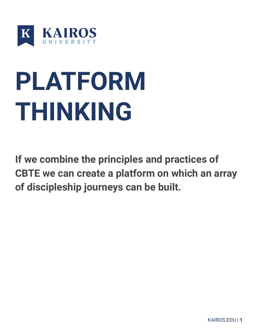

# **PLATFORM THINKING**

**If we combine the principles and practices of CBTE we can create a platform on which an array of discipleship journeys can be built.**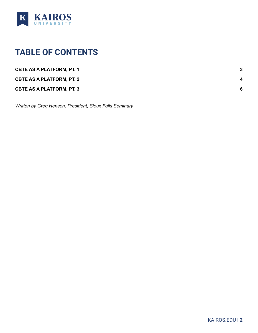

### <span id="page-1-0"></span>**TABLE OF CONTENTS**

| <b>CBTE AS A PLATFORM, PT. 1</b> |             |
|----------------------------------|-------------|
| <b>CBTE AS A PLATFORM, PT. 2</b> | $\mathbf 4$ |
| <b>CBTE AS A PLATFORM, PT. 3</b> | 6           |

*Written by Greg Henson, President, Sioux Falls Seminary*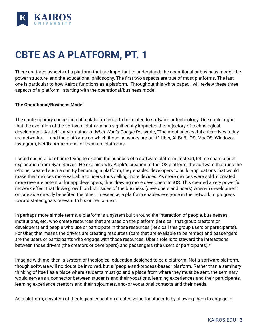

## <span id="page-2-0"></span>**CBTE AS A PLATFORM, PT. 1**

There are three aspects of a platform that are important to understand: the operational or business model, the power structure, and the educational philosophy. The first two aspects are true of most platforms. The last one is particular to how Kairos functions as a platform. Throughout this white paper, I will review these three aspects of a platform—starting with the operational/business model.

#### **The Operational/Business Model**

The contemporary conception of a platform tends to be related to software or technology. One could argue that the evolution of the software platform has significantly impacted the trajectory of technological development. As Jeff Jarvis, author of *What Would Google Do*, wrote, "The most successful enterprises today are networks . . . and the platforms on which those networks are built." Uber, AirBnB, iOS, MacOS, Windows, Instagram, Netflix, Amazon–all of them are platforms.

I could spend a lot of time trying to explain the nuances of a software platform. Instead, let me share a brief explanation from Ryan Sarver. He explains why Apple's creation of the iOS platform, the software that runs the iPhone, created such a stir. By becoming a platform, they enabled developers to build applications that would make their devices more valuable to users, thus selling more devices. As more devices were sold, it created more revenue potential for app developers, thus drawing more developers to iOS. This created a very powerful network effect that drove growth on both sides of the business (developers and users) wherein development on one side directly benefited the other. In essence, a platform enables everyone in the network to progress toward stated goals relevant to his or her context.

In perhaps more simple terms, a platform is a system built around the interaction of people, businesses, institutions, etc. who create resources that are used on the platform (let's call that group creators or developers) and people who use or participate in those resources (let's call this group users or participants). For Uber, that means the drivers are creating resources (cars that are available to be rented) and passengers are the users or participants who engage with those resources. Uber's role is to steward the interactions between those drivers (the creators or developers) and passengers (the users or participants).\*

Imagine with me, then, a system of theological education designed to be a platform. Not a software platform, though software will no doubt be involved, but a "people-and-process-based" platform. Rather than a seminary thinking of itself as a place where students must go and a place from where they must be sent, the seminary would serve as a connector between students and their vocations, learning experiences and their participants, learning experience creators and their sojourners, and/or vocational contexts and their needs.

As a platform, a system of theological education creates value for students by allowing them to engage in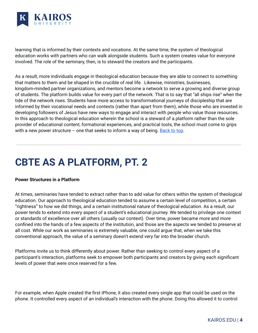

learning that is informed by their contexts and vocations. At the same time, the system of theological education works with partners who can walk alongside students. Such a system creates value for everyone involved. The role of the seminary, then, is to steward the creators and the participants.

As a result, more individuals engage in theological education because they are able to connect to something that matters to them and be shaped in the crucible of real life. Likewise, ministries, businesses, kingdom-minded partner organizations, and mentors become a network to serve a growing and diverse group of students. The platform builds value for every part of the network. That is to say that "all ships rise" when the tide of the network rises. Students have more access to transformational journeys of discipleship that are informed by their vocational needs and contexts (rather than apart from them), while those who are invested in developing followers of Jesus have new ways to engage and interact with people who value those resources. In this approach to theological education wherein the school is a steward of a platform rather than the sole provider of educational content, formational experiences, and practical tools, the school must come to grips with a new power structure – one that seeks to inform a way of being. [Back](#page-1-0) to top.

## <span id="page-3-0"></span>**CBTE AS A PLATFORM, PT. 2**

#### **Power Structures in a Platform**

At times, seminaries have tended to extract rather than to add value for others within the system of theological education. Our approach to theological education tended to assume a certain level of competition, a certain "rightness" to how we did things, and a certain institutional nature of theological education. As a result, our power tends to extend into every aspect of a student's educational journey. We tended to privilege one context or standards of excellence over all others (usually our context). Over time, power became more and more confined into the hands of a few aspects of the institution, and those are the aspects we tended to preserve at all cost. While our work as seminaries is extremely valuable, one could argue that, when we take this conventional approach, the value of a seminary doesn't extend very far into the broader church.

Platforms invite us to think differently about power. Rather than seeking to control every aspect of a participant's interaction, platforms seek to empower both participants and creators by giving each significant levels of power that were once reserved for a few.

For example, when Apple created the first iPhone, it also created every single app that could be used on the phone. It controlled every aspect of an individual's interaction with the phone. Doing this allowed it to control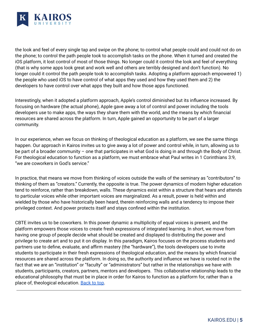

the look and feel of every single tap and swipe on the phone; to control what people could and could not do on the phone; to control the path people took to accomplish tasks on the phone. When it turned and created the iOS platform, it lost control of most of those things. No longer could it control the look and feel of everything (that is why some apps look great and work well and others are terribly designed and don't function). No longer could it control the path people took to accomplish tasks. Adopting a platform approach empowered 1) the people who used iOS to have control of what apps they used and how they used them and 2) the developers to have control over what apps they built and how those apps functioned.

Interestingly, when it adopted a platform approach, Apple's control diminished but its influence increased. By focusing on hardware (the actual phone), Apple gave away a lot of control and power including the tools developers use to make apps, the ways they share them with the world, and the means by which financial resources are shared across the platform. In turn, Apple gained an opportunity to be part of a larger community.

In our experience, when we focus on thinking of theological education as a platform, we see the same things happen. Our approach in Kairos invites us to give away a lot of power and control while, in turn, allowing us to be part of a broader community – one that participates in what God is doing in and through the Body of Christ. For theological education to function as a platform, we must embrace what Paul writes in 1 Corinthians 3:9, "we are coworkers in God's service."

In practice, that means we move from thinking of voices outside the walls of the seminary as "contributors" to thinking of them as "creators." Currently, the opposite is true. The power dynamics of modern higher education tend to reinforce, rather than breakdown, walls. These dynamics exist within a structure that hears and attends to particular voices while other important voices are marginalized. As a result, power is held within and wielded by those who have historically been heard, therein reinforcing walls and a tendency to impose their privileged context. And power protects itself and stays confined within the institution.

CBTE invites us to be coworkers. In this power dynamic a multiplicity of equal voices is present, and the platform empowers those voices to create fresh expressions of integrated learning. In short, we move from having one group of people decide what should be created and displayed to distributing the power and privilege to create art and to put it on display. In this paradigm, Kairos focuses on the process students and partners use to define, evaluate, and affirm mastery (the "hardware"), the tools developers use to invite students to participate in their fresh expressions of theological education, and the means by which financial resources are shared across the platform. In doing so, the authority and influence we have is rooted not in the fact that we are an "institution" or "faculty" or "administrators" but rather in the relationships we have with students, participants, creators, partners, mentors and developers. This collaborative relationship leads to the educational philosophy that must be in place in order for Kairos to function as a platform for, rather than a place of, theological education. [Back](#page-1-0) to top.